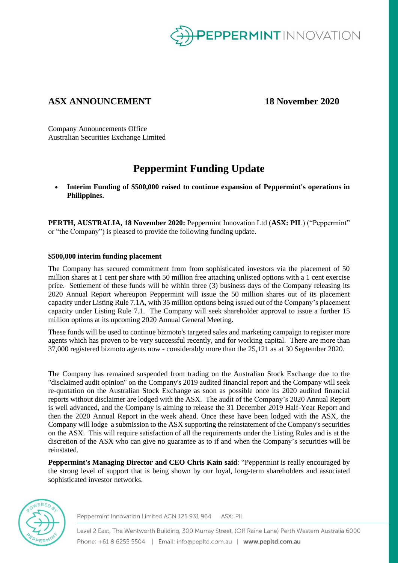

# **ASX ANNOUNCEMENT 18 November 2020**

Company Announcements Office Australian Securities Exchange Limited

# **Peppermint Funding Update**

• **Interim Funding of \$500,000 raised to continue expansion of Peppermint's operations in Philippines.**

**PERTH, AUSTRALIA, 18 November 2020:** Peppermint Innovation Ltd (**ASX: PIL**) ("Peppermint" or "the Company") is pleased to provide the following funding update.

# **\$500,000 interim funding placement**

The Company has secured commitment from from sophisticated investors via the placement of 50 million shares at 1 cent per share with 50 million free attaching unlisted options with a 1 cent exercise price. Settlement of these funds will be within three (3) business days of the Company releasing its 2020 Annual Report whereupon Peppermint will issue the 50 million shares out of its placement capacity under Listing Rule 7.1A, with 35 million options being issued out of the Company's placement capacity under Listing Rule 7.1. The Company will seek shareholder approval to issue a further 15 million options at its upcoming 2020 Annual General Meeting.

These funds will be used to continue bizmoto's targeted sales and marketing campaign to register more agents which has proven to be very successful recently, and for working capital. There are more than 37,000 registered bizmoto agents now - considerably more than the 25,121 as at 30 September 2020.

The Company has remained suspended from trading on the Australian Stock Exchange due to the "disclaimed audit opinion" on the Company's 2019 audited financial report and the Company will seek re-quotation on the Australian Stock Exchange as soon as possible once its 2020 audited financial reports without disclaimer are lodged with the ASX. The audit of the Company's 2020 Annual Report is well advanced, and the Company is aiming to release the 31 December 2019 Half-Year Report and then the 2020 Annual Report in the week ahead. Once these have been lodged with the ASX, the Company will lodge a submission to the ASX supporting the reinstatement of the Company's securities on the ASX. This will require satisfaction of all the requirements under the Listing Rules and is at the discretion of the ASX who can give no guarantee as to if and when the Company's securities will be reinstated.

**Peppermint's Managing Director and CEO Chris Kain said**: "Peppermint is really encouraged by the strong level of support that is being shown by our loyal, long-term shareholders and associated sophisticated investor networks.



Peppermint Innovation Limited ACN 125 931 964 ASX: PIL

Level 2 East, The Wentworth Building, 300 Murray Street, (Off Raine Lane) Perth Western Australia 6000 Phone: +61 8 6255 5504 | Email: info@pepltd.com.au | www.pepltd.com.au